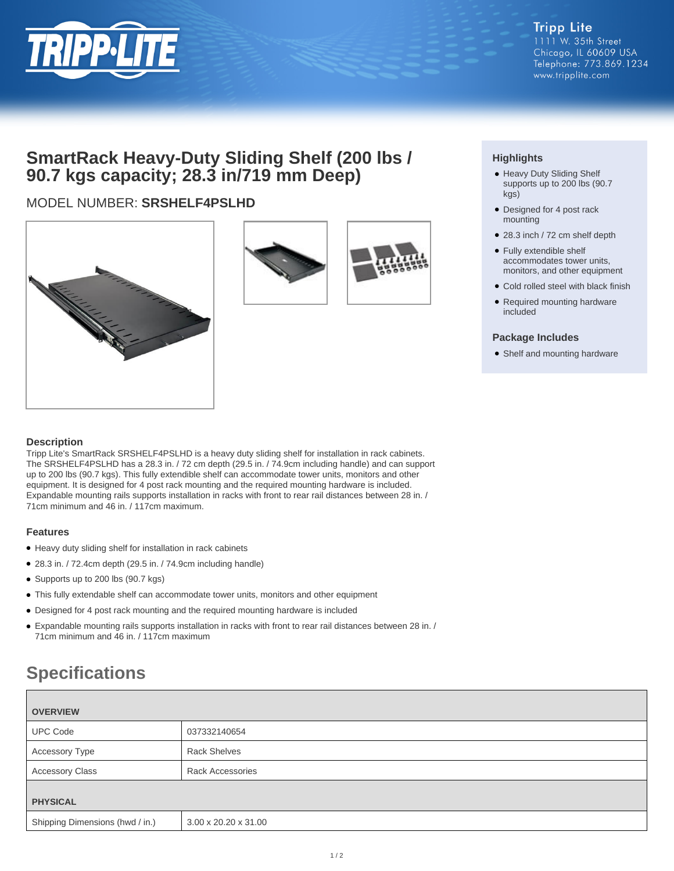

## **SmartRack Heavy-Duty Sliding Shelf (200 lbs / 90.7 kgs capacity; 28.3 in/719 mm Deep)**

### MODEL NUMBER: **SRSHELF4PSLHD**





#### **Highlights**

- Heavy Duty Sliding Shelf supports up to 200 lbs (90.7 kgs)
- Designed for 4 post rack mounting
- 28.3 inch / 72 cm shelf depth
- Fully extendible shelf accommodates tower units, monitors, and other equipment
- Cold rolled steel with black finish
- Required mounting hardware included

#### **Package Includes**

• Shelf and mounting hardware

#### **Description**

Tripp Lite's SmartRack SRSHELF4PSLHD is a heavy duty sliding shelf for installation in rack cabinets. The SRSHELF4PSLHD has a 28.3 in. / 72 cm depth (29.5 in. / 74.9cm including handle) and can support up to 200 lbs (90.7 kgs). This fully extendible shelf can accommodate tower units, monitors and other equipment. It is designed for 4 post rack mounting and the required mounting hardware is included. Expandable mounting rails supports installation in racks with front to rear rail distances between 28 in. / 71cm minimum and 46 in. / 117cm maximum.

#### **Features**

- Heavy duty sliding shelf for installation in rack cabinets
- 28.3 in. / 72.4cm depth (29.5 in. / 74.9cm including handle)
- Supports up to 200 lbs (90.7 kgs)
- This fully extendable shelf can accommodate tower units, monitors and other equipment
- Designed for 4 post rack mounting and the required mounting hardware is included
- Expandable mounting rails supports installation in racks with front to rear rail distances between 28 in. / 71cm minimum and 46 in. / 117cm maximum

# **Specifications**

| <b>OVERVIEW</b>                 |                         |
|---------------------------------|-------------------------|
| <b>UPC Code</b>                 | 037332140654            |
| <b>Accessory Type</b>           | <b>Rack Shelves</b>     |
| <b>Accessory Class</b>          | <b>Rack Accessories</b> |
| <b>PHYSICAL</b>                 |                         |
| Shipping Dimensions (hwd / in.) | 3.00 x 20.20 x 31.00    |